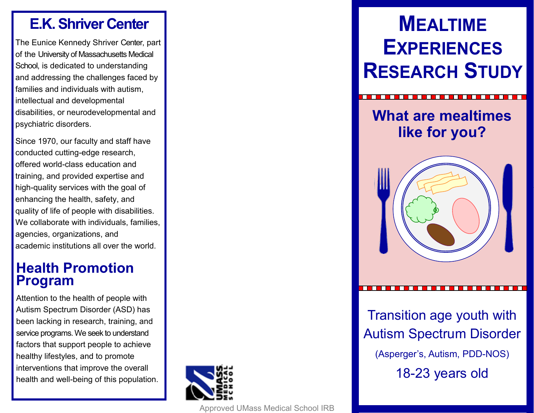### **E.K. Shriver Center**

The Eunice Kennedy Shriver Center, part of the University of Massachusetts Medical School, is dedicated to understanding and addressing the challenges faced by families and individuals with autism, intellectual and developmental disabilities, or neurodevelopmental and psychiatric disorders.

Since 1970, our faculty and staff have conducted cutting -edge research, offered world -class education and training, and provided expertise and high -quality services with the goal of enhancing the health, safety, and quality of life of people with disabilities. We collaborate with individuals, families, agencies, organizations, and academic institutions all over the world.

### **Health Promotion Program**

Attention to the health of people with Autism Spectrum Disorder (ASD) has been lacking in research, training, and service programs. We seek to understand factors that support people to achieve healthy lifestyles, and to promote interventions that improve the overall health and well -being of this population.



#### Approved UMass Medical School IRB

# **MEALTIME EXPERIENCES RESEARCH STUDY**





Transition age youth with Autism Spectrum Disorder (Asperger's, Autism, PDD -NOS) 18 -23 years old